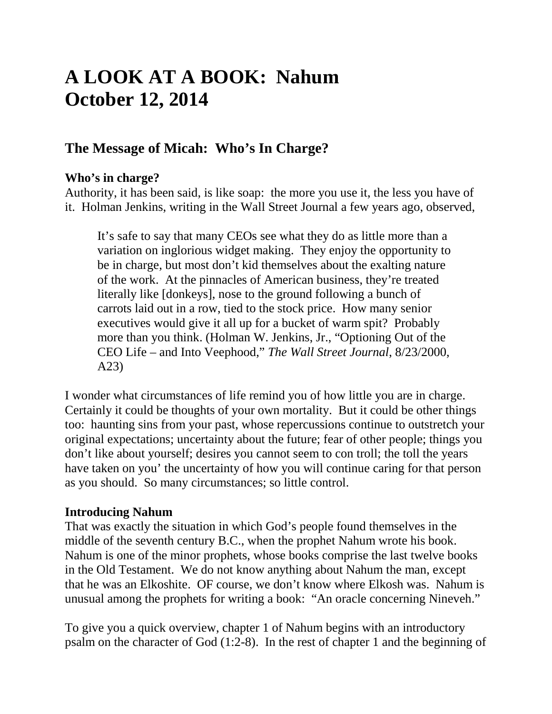# **A LOOK AT A BOOK: Nahum October 12, 2014**

## **The Message of Micah: Who's In Charge?**

#### **Who's in charge?**

Authority, it has been said, is like soap: the more you use it, the less you have of it. Holman Jenkins, writing in the Wall Street Journal a few years ago, observed,

It's safe to say that many CEOs see what they do as little more than a variation on inglorious widget making. They enjoy the opportunity to be in charge, but most don't kid themselves about the exalting nature of the work. At the pinnacles of American business, they're treated literally like [donkeys], nose to the ground following a bunch of carrots laid out in a row, tied to the stock price. How many senior executives would give it all up for a bucket of warm spit? Probably more than you think. (Holman W. Jenkins, Jr., "Optioning Out of the CEO Life – and Into Veephood," *The Wall Street Journal*, 8/23/2000, A23)

I wonder what circumstances of life remind you of how little you are in charge. Certainly it could be thoughts of your own mortality. But it could be other things too: haunting sins from your past, whose repercussions continue to outstretch your original expectations; uncertainty about the future; fear of other people; things you don't like about yourself; desires you cannot seem to con troll; the toll the years have taken on you' the uncertainty of how you will continue caring for that person as you should. So many circumstances; so little control.

#### **Introducing Nahum**

That was exactly the situation in which God's people found themselves in the middle of the seventh century B.C., when the prophet Nahum wrote his book. Nahum is one of the minor prophets, whose books comprise the last twelve books in the Old Testament. We do not know anything about Nahum the man, except that he was an Elkoshite. OF course, we don't know where Elkosh was. Nahum is unusual among the prophets for writing a book: "An oracle concerning Nineveh."

To give you a quick overview, chapter 1 of Nahum begins with an introductory psalm on the character of God (1:2-8). In the rest of chapter 1 and the beginning of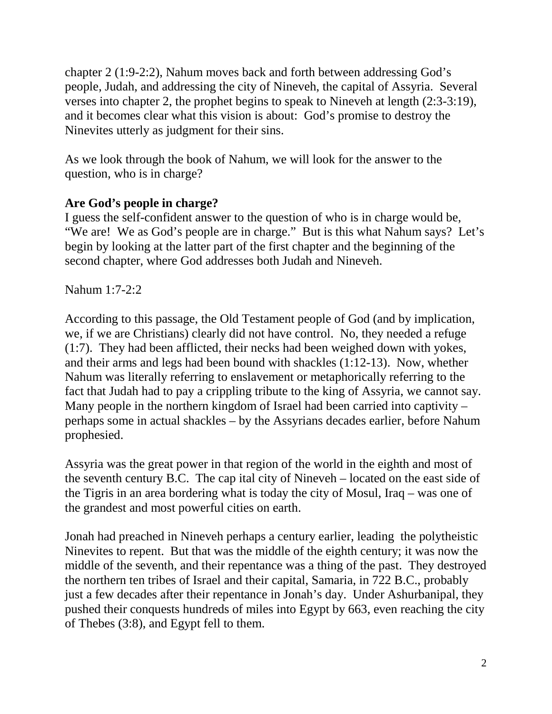chapter 2 (1:9-2:2), Nahum moves back and forth between addressing God's people, Judah, and addressing the city of Nineveh, the capital of Assyria. Several verses into chapter 2, the prophet begins to speak to Nineveh at length (2:3-3:19), and it becomes clear what this vision is about: God's promise to destroy the Ninevites utterly as judgment for their sins.

As we look through the book of Nahum, we will look for the answer to the question, who is in charge?

## **Are God's people in charge?**

I guess the self-confident answer to the question of who is in charge would be, "We are! We as God's people are in charge." But is this what Nahum says? Let's begin by looking at the latter part of the first chapter and the beginning of the second chapter, where God addresses both Judah and Nineveh.

Nahum 1:7-2:2

According to this passage, the Old Testament people of God (and by implication, we, if we are Christians) clearly did not have control. No, they needed a refuge (1:7). They had been afflicted, their necks had been weighed down with yokes, and their arms and legs had been bound with shackles (1:12-13). Now, whether Nahum was literally referring to enslavement or metaphorically referring to the fact that Judah had to pay a crippling tribute to the king of Assyria, we cannot say. Many people in the northern kingdom of Israel had been carried into captivity – perhaps some in actual shackles – by the Assyrians decades earlier, before Nahum prophesied.

Assyria was the great power in that region of the world in the eighth and most of the seventh century B.C. The cap ital city of Nineveh – located on the east side of the Tigris in an area bordering what is today the city of Mosul, Iraq – was one of the grandest and most powerful cities on earth.

Jonah had preached in Nineveh perhaps a century earlier, leading the polytheistic Ninevites to repent. But that was the middle of the eighth century; it was now the middle of the seventh, and their repentance was a thing of the past. They destroyed the northern ten tribes of Israel and their capital, Samaria, in 722 B.C., probably just a few decades after their repentance in Jonah's day. Under Ashurbanipal, they pushed their conquests hundreds of miles into Egypt by 663, even reaching the city of Thebes (3:8), and Egypt fell to them.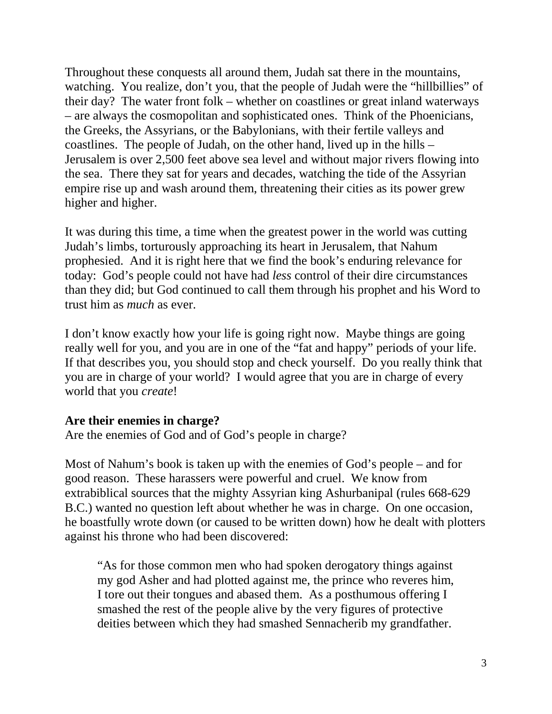Throughout these conquests all around them, Judah sat there in the mountains, watching. You realize, don't you, that the people of Judah were the "hillbillies" of their day? The water front folk – whether on coastlines or great inland waterways – are always the cosmopolitan and sophisticated ones. Think of the Phoenicians, the Greeks, the Assyrians, or the Babylonians, with their fertile valleys and coastlines. The people of Judah, on the other hand, lived up in the hills – Jerusalem is over 2,500 feet above sea level and without major rivers flowing into the sea. There they sat for years and decades, watching the tide of the Assyrian empire rise up and wash around them, threatening their cities as its power grew higher and higher.

It was during this time, a time when the greatest power in the world was cutting Judah's limbs, torturously approaching its heart in Jerusalem, that Nahum prophesied. And it is right here that we find the book's enduring relevance for today: God's people could not have had *less* control of their dire circumstances than they did; but God continued to call them through his prophet and his Word to trust him as *much* as ever.

I don't know exactly how your life is going right now. Maybe things are going really well for you, and you are in one of the "fat and happy" periods of your life. If that describes you, you should stop and check yourself. Do you really think that you are in charge of your world? I would agree that you are in charge of every world that you *create*!

#### **Are their enemies in charge?**

Are the enemies of God and of God's people in charge?

Most of Nahum's book is taken up with the enemies of God's people – and for good reason. These harassers were powerful and cruel. We know from extrabiblical sources that the mighty Assyrian king Ashurbanipal (rules 668-629 B.C.) wanted no question left about whether he was in charge. On one occasion, he boastfully wrote down (or caused to be written down) how he dealt with plotters against his throne who had been discovered:

"As for those common men who had spoken derogatory things against my god Asher and had plotted against me, the prince who reveres him, I tore out their tongues and abased them. As a posthumous offering I smashed the rest of the people alive by the very figures of protective deities between which they had smashed Sennacherib my grandfather.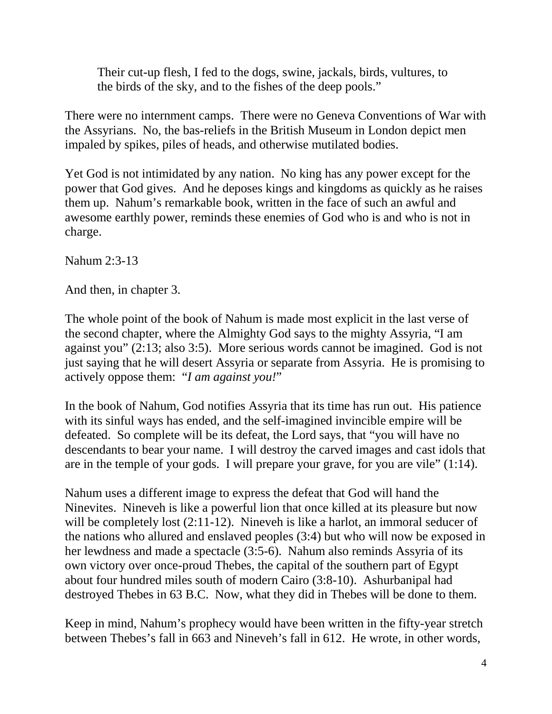Their cut-up flesh, I fed to the dogs, swine, jackals, birds, vultures, to the birds of the sky, and to the fishes of the deep pools."

There were no internment camps. There were no Geneva Conventions of War with the Assyrians. No, the bas-reliefs in the British Museum in London depict men impaled by spikes, piles of heads, and otherwise mutilated bodies.

Yet God is not intimidated by any nation. No king has any power except for the power that God gives. And he deposes kings and kingdoms as quickly as he raises them up. Nahum's remarkable book, written in the face of such an awful and awesome earthly power, reminds these enemies of God who is and who is not in charge.

Nahum 2:3-13

And then, in chapter 3.

The whole point of the book of Nahum is made most explicit in the last verse of the second chapter, where the Almighty God says to the mighty Assyria, "I am against you" (2:13; also 3:5). More serious words cannot be imagined. God is not just saying that he will desert Assyria or separate from Assyria. He is promising to actively oppose them: "*I am against you!*"

In the book of Nahum, God notifies Assyria that its time has run out. His patience with its sinful ways has ended, and the self-imagined invincible empire will be defeated. So complete will be its defeat, the Lord says, that "you will have no descendants to bear your name. I will destroy the carved images and cast idols that are in the temple of your gods. I will prepare your grave, for you are vile" (1:14).

Nahum uses a different image to express the defeat that God will hand the Ninevites. Nineveh is like a powerful lion that once killed at its pleasure but now will be completely lost  $(2:11-12)$ . Nineveh is like a harlot, an immoral seducer of the nations who allured and enslaved peoples (3:4) but who will now be exposed in her lewdness and made a spectacle (3:5-6). Nahum also reminds Assyria of its own victory over once-proud Thebes, the capital of the southern part of Egypt about four hundred miles south of modern Cairo (3:8-10). Ashurbanipal had destroyed Thebes in 63 B.C. Now, what they did in Thebes will be done to them.

Keep in mind, Nahum's prophecy would have been written in the fifty-year stretch between Thebes's fall in 663 and Nineveh's fall in 612. He wrote, in other words,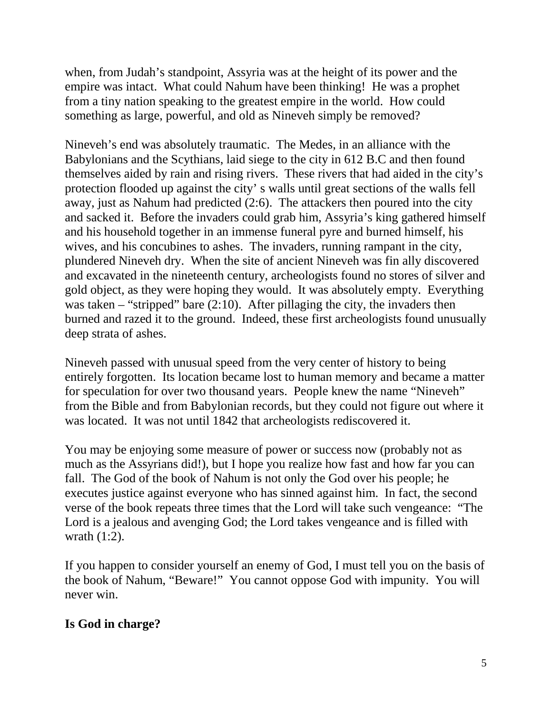when, from Judah's standpoint, Assyria was at the height of its power and the empire was intact. What could Nahum have been thinking! He was a prophet from a tiny nation speaking to the greatest empire in the world. How could something as large, powerful, and old as Nineveh simply be removed?

Nineveh's end was absolutely traumatic. The Medes, in an alliance with the Babylonians and the Scythians, laid siege to the city in 612 B.C and then found themselves aided by rain and rising rivers. These rivers that had aided in the city's protection flooded up against the city' s walls until great sections of the walls fell away, just as Nahum had predicted (2:6). The attackers then poured into the city and sacked it. Before the invaders could grab him, Assyria's king gathered himself and his household together in an immense funeral pyre and burned himself, his wives, and his concubines to ashes. The invaders, running rampant in the city, plundered Nineveh dry. When the site of ancient Nineveh was fin ally discovered and excavated in the nineteenth century, archeologists found no stores of silver and gold object, as they were hoping they would. It was absolutely empty. Everything was taken – "stripped" bare  $(2:10)$ . After pillaging the city, the invaders then burned and razed it to the ground. Indeed, these first archeologists found unusually deep strata of ashes.

Nineveh passed with unusual speed from the very center of history to being entirely forgotten. Its location became lost to human memory and became a matter for speculation for over two thousand years. People knew the name "Nineveh" from the Bible and from Babylonian records, but they could not figure out where it was located. It was not until 1842 that archeologists rediscovered it.

You may be enjoying some measure of power or success now (probably not as much as the Assyrians did!), but I hope you realize how fast and how far you can fall. The God of the book of Nahum is not only the God over his people; he executes justice against everyone who has sinned against him. In fact, the second verse of the book repeats three times that the Lord will take such vengeance: "The Lord is a jealous and avenging God; the Lord takes vengeance and is filled with wrath (1:2).

If you happen to consider yourself an enemy of God, I must tell you on the basis of the book of Nahum, "Beware!" You cannot oppose God with impunity. You will never win.

## **Is God in charge?**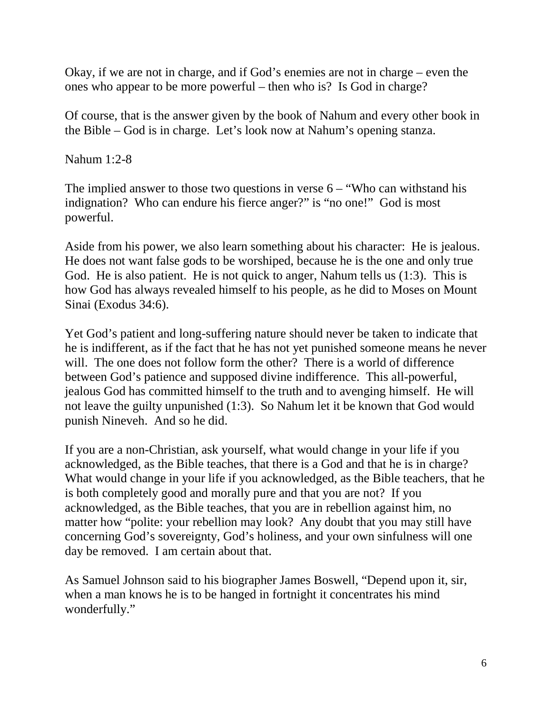Okay, if we are not in charge, and if God's enemies are not in charge – even the ones who appear to be more powerful – then who is? Is God in charge?

Of course, that is the answer given by the book of Nahum and every other book in the Bible – God is in charge. Let's look now at Nahum's opening stanza.

Nahum 1:2-8

The implied answer to those two questions in verse  $6 -$  "Who can withstand his indignation? Who can endure his fierce anger?" is "no one!" God is most powerful.

Aside from his power, we also learn something about his character: He is jealous. He does not want false gods to be worshiped, because he is the one and only true God. He is also patient. He is not quick to anger, Nahum tells us (1:3). This is how God has always revealed himself to his people, as he did to Moses on Mount Sinai (Exodus 34:6).

Yet God's patient and long-suffering nature should never be taken to indicate that he is indifferent, as if the fact that he has not yet punished someone means he never will. The one does not follow form the other? There is a world of difference between God's patience and supposed divine indifference. This all-powerful, jealous God has committed himself to the truth and to avenging himself. He will not leave the guilty unpunished (1:3). So Nahum let it be known that God would punish Nineveh. And so he did.

If you are a non-Christian, ask yourself, what would change in your life if you acknowledged, as the Bible teaches, that there is a God and that he is in charge? What would change in your life if you acknowledged, as the Bible teachers, that he is both completely good and morally pure and that you are not? If you acknowledged, as the Bible teaches, that you are in rebellion against him, no matter how "polite: your rebellion may look? Any doubt that you may still have concerning God's sovereignty, God's holiness, and your own sinfulness will one day be removed. I am certain about that.

As Samuel Johnson said to his biographer James Boswell, "Depend upon it, sir, when a man knows he is to be hanged in fortnight it concentrates his mind wonderfully."